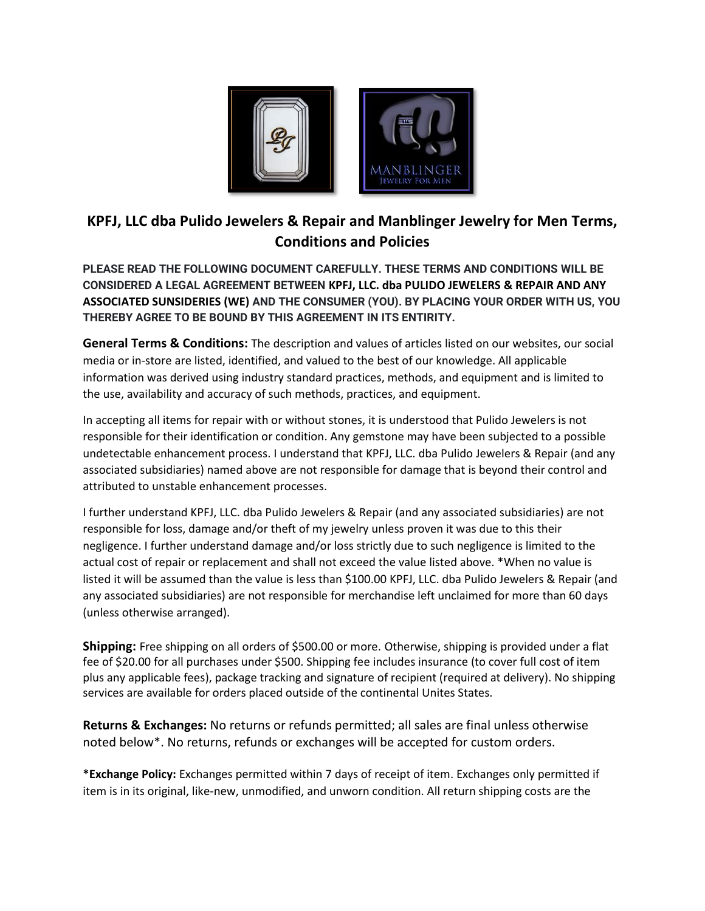

# **KPFJ, LLC dba Pulido Jewelers & Repair and Manblinger Jewelry for Men Terms, Conditions and Policies**

**PLEASE READ THE FOLLOWING DOCUMENT CAREFULLY. THESE TERMS AND CONDITIONS WILL BE CONSIDERED A LEGAL AGREEMENT BETWEEN KPFJ, LLC. dba PULIDO JEWELERS & REPAIR AND ANY ASSOCIATED SUNSIDERIES (WE) AND THE CONSUMER (YOU). BY PLACING YOUR ORDER WITH US, YOU THEREBY AGREE TO BE BOUND BY THIS AGREEMENT IN ITS ENTIRITY.** 

**General Terms & Conditions:** The description and values of articles listed on our websites, our social media or in-store are listed, identified, and valued to the best of our knowledge. All applicable information was derived using industry standard practices, methods, and equipment and is limited to the use, availability and accuracy of such methods, practices, and equipment.

In accepting all items for repair with or without stones, it is understood that Pulido Jewelers is not responsible for their identification or condition. Any gemstone may have been subjected to a possible undetectable enhancement process. I understand that KPFJ, LLC. dba Pulido Jewelers & Repair (and any associated subsidiaries) named above are not responsible for damage that is beyond their control and attributed to unstable enhancement processes.

I further understand KPFJ, LLC. dba Pulido Jewelers & Repair (and any associated subsidiaries) are not responsible for loss, damage and/or theft of my jewelry unless proven it was due to this their negligence. I further understand damage and/or loss strictly due to such negligence is limited to the actual cost of repair or replacement and shall not exceed the value listed above. \*When no value is listed it will be assumed than the value is less than \$100.00 KPFJ, LLC. dba Pulido Jewelers & Repair (and any associated subsidiaries) are not responsible for merchandise left unclaimed for more than 60 days (unless otherwise arranged).

**Shipping:** Free shipping on all orders of \$500.00 or more. Otherwise, shipping is provided under a flat fee of \$20.00 for all purchases under \$500. Shipping fee includes insurance (to cover full cost of item plus any applicable fees), package tracking and signature of recipient (required at delivery). No shipping services are available for orders placed outside of the continental Unites States.

**Returns & Exchanges:** No returns or refunds permitted; all sales are final unless otherwise noted below\*. No returns, refunds or exchanges will be accepted for custom orders.

**\*Exchange Policy:** Exchanges permitted within 7 days of receipt of item. Exchanges only permitted if item is in its original, like-new, unmodified, and unworn condition. All return shipping costs are the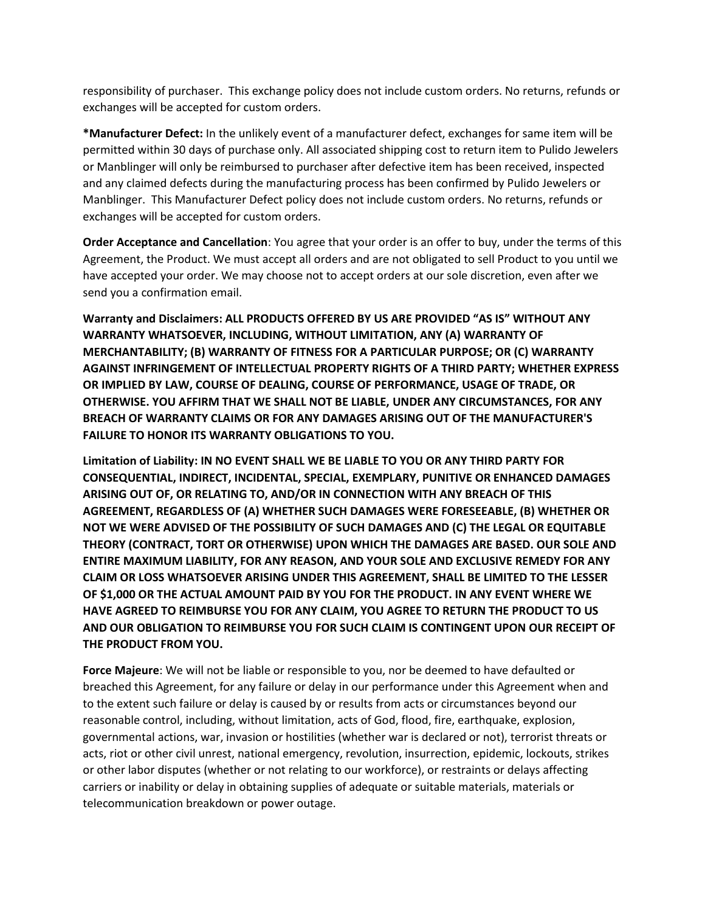responsibility of purchaser. This exchange policy does not include custom orders. No returns, refunds or exchanges will be accepted for custom orders.

**\*Manufacturer Defect:** In the unlikely event of a manufacturer defect, exchanges for same item will be permitted within 30 days of purchase only. All associated shipping cost to return item to Pulido Jewelers or Manblinger will only be reimbursed to purchaser after defective item has been received, inspected and any claimed defects during the manufacturing process has been confirmed by Pulido Jewelers or Manblinger. This Manufacturer Defect policy does not include custom orders. No returns, refunds or exchanges will be accepted for custom orders.

**Order Acceptance and Cancellation**: You agree that your order is an offer to buy, under the terms of this Agreement, the Product. We must accept all orders and are not obligated to sell Product to you until we have accepted your order. We may choose not to accept orders at our sole discretion, even after we send you a confirmation email.

**Warranty and Disclaimers: ALL PRODUCTS OFFERED BY US ARE PROVIDED "AS IS" WITHOUT ANY WARRANTY WHATSOEVER, INCLUDING, WITHOUT LIMITATION, ANY (A) WARRANTY OF MERCHANTABILITY; (B) WARRANTY OF FITNESS FOR A PARTICULAR PURPOSE; OR (C) WARRANTY AGAINST INFRINGEMENT OF INTELLECTUAL PROPERTY RIGHTS OF A THIRD PARTY; WHETHER EXPRESS OR IMPLIED BY LAW, COURSE OF DEALING, COURSE OF PERFORMANCE, USAGE OF TRADE, OR OTHERWISE. YOU AFFIRM THAT WE SHALL NOT BE LIABLE, UNDER ANY CIRCUMSTANCES, FOR ANY BREACH OF WARRANTY CLAIMS OR FOR ANY DAMAGES ARISING OUT OF THE MANUFACTURER'S FAILURE TO HONOR ITS WARRANTY OBLIGATIONS TO YOU.**

**Limitation of Liability: IN NO EVENT SHALL WE BE LIABLE TO YOU OR ANY THIRD PARTY FOR CONSEQUENTIAL, INDIRECT, INCIDENTAL, SPECIAL, EXEMPLARY, PUNITIVE OR ENHANCED DAMAGES ARISING OUT OF, OR RELATING TO, AND/OR IN CONNECTION WITH ANY BREACH OF THIS AGREEMENT, REGARDLESS OF (A) WHETHER SUCH DAMAGES WERE FORESEEABLE, (B) WHETHER OR NOT WE WERE ADVISED OF THE POSSIBILITY OF SUCH DAMAGES AND (C) THE LEGAL OR EQUITABLE THEORY (CONTRACT, TORT OR OTHERWISE) UPON WHICH THE DAMAGES ARE BASED. OUR SOLE AND ENTIRE MAXIMUM LIABILITY, FOR ANY REASON, AND YOUR SOLE AND EXCLUSIVE REMEDY FOR ANY CLAIM OR LOSS WHATSOEVER ARISING UNDER THIS AGREEMENT, SHALL BE LIMITED TO THE LESSER OF \$1,000 OR THE ACTUAL AMOUNT PAID BY YOU FOR THE PRODUCT. IN ANY EVENT WHERE WE HAVE AGREED TO REIMBURSE YOU FOR ANY CLAIM, YOU AGREE TO RETURN THE PRODUCT TO US AND OUR OBLIGATION TO REIMBURSE YOU FOR SUCH CLAIM IS CONTINGENT UPON OUR RECEIPT OF THE PRODUCT FROM YOU.**

**Force Majeure**: We will not be liable or responsible to you, nor be deemed to have defaulted or breached this Agreement, for any failure or delay in our performance under this Agreement when and to the extent such failure or delay is caused by or results from acts or circumstances beyond our reasonable control, including, without limitation, acts of God, flood, fire, earthquake, explosion, governmental actions, war, invasion or hostilities (whether war is declared or not), terrorist threats or acts, riot or other civil unrest, national emergency, revolution, insurrection, epidemic, lockouts, strikes or other labor disputes (whether or not relating to our workforce), or restraints or delays affecting carriers or inability or delay in obtaining supplies of adequate or suitable materials, materials or telecommunication breakdown or power outage.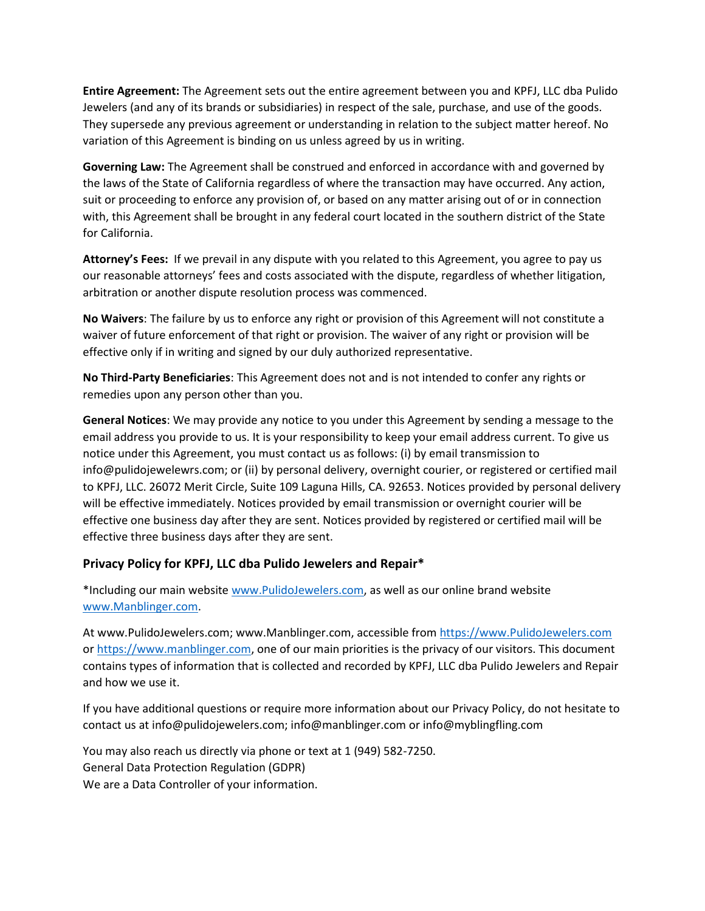**Entire Agreement:** The Agreement sets out the entire agreement between you and KPFJ, LLC dba Pulido Jewelers (and any of its brands or subsidiaries) in respect of the sale, purchase, and use of the goods. They supersede any previous agreement or understanding in relation to the subject matter hereof. No variation of this Agreement is binding on us unless agreed by us in writing.

**Governing Law:** The Agreement shall be construed and enforced in accordance with and governed by the laws of the State of California regardless of where the transaction may have occurred. Any action, suit or proceeding to enforce any provision of, or based on any matter arising out of or in connection with, this Agreement shall be brought in any federal court located in the southern district of the State for California.

**Attorney's Fees:** If we prevail in any dispute with you related to this Agreement, you agree to pay us our reasonable attorneys' fees and costs associated with the dispute, regardless of whether litigation, arbitration or another dispute resolution process was commenced.

**No Waivers**: The failure by us to enforce any right or provision of this Agreement will not constitute a waiver of future enforcement of that right or provision. The waiver of any right or provision will be effective only if in writing and signed by our duly authorized representative.

**No Third-Party Beneficiaries**: This Agreement does not and is not intended to confer any rights or remedies upon any person other than you.

**General Notices**: We may provide any notice to you under this Agreement by sending a message to the email address you provide to us. It is your responsibility to keep your email address current. To give us notice under this Agreement, you must contact us as follows: (i) by email transmission to info@pulidojewelewrs.com; or (ii) by personal delivery, overnight courier, or registered or certified mail to KPFJ, LLC. 26072 Merit Circle, Suite 109 Laguna Hills, CA. 92653. Notices provided by personal delivery will be effective immediately. Notices provided by email transmission or overnight courier will be effective one business day after they are sent. Notices provided by registered or certified mail will be effective three business days after they are sent.

## **Privacy Policy for KPFJ, LLC dba Pulido Jewelers and Repair\***

\*Including our main website [www.PulidoJewelers.com,](https://www.pulidojewelers.com/) as well as our online brand website [www.Manblinger.com.](https://www.manblinger.com/)

At www.PulidoJewelers.com; www.Manblinger.com, accessible from [https://www.PulidoJewelers.com](https://www.pulidojewelers.com/) or [https://www.manblinger.com,](https://www.manblinger.com/) one of our main priorities is the privacy of our visitors. This document contains types of information that is collected and recorded by KPFJ, LLC dba Pulido Jewelers and Repair and how we use it.

If you have additional questions or require more information about our Privacy Policy, do not hesitate to contact us at info@pulidojewelers.com; info@manblinger.com or info@myblingfling.com

You may also reach us directly via phone or text at 1 (949) 582-7250. General Data Protection Regulation (GDPR) We are a Data Controller of your information.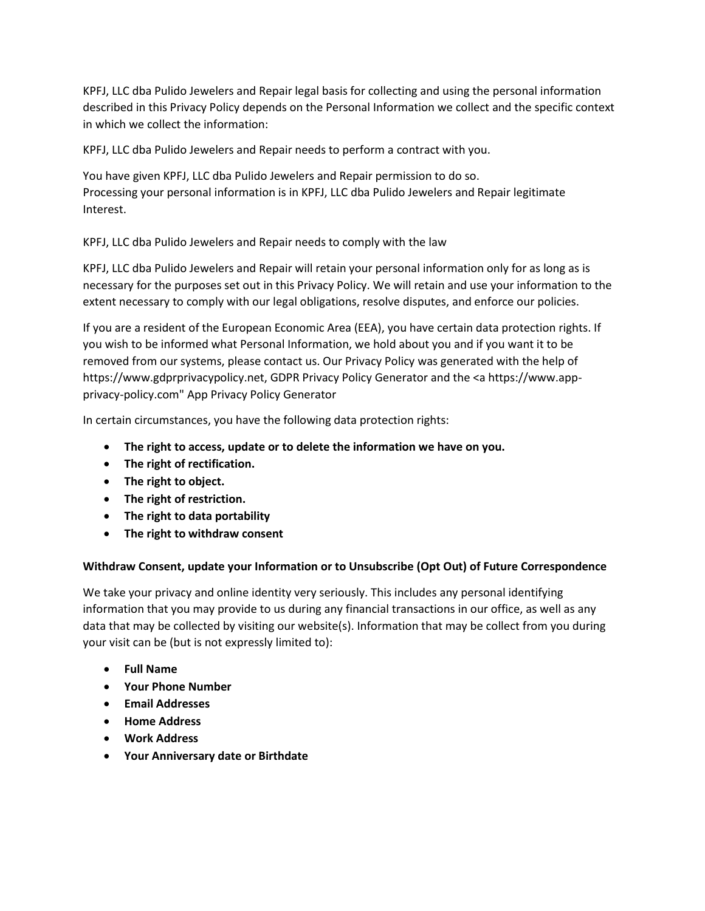KPFJ, LLC dba Pulido Jewelers and Repair legal basis for collecting and using the personal information described in this Privacy Policy depends on the Personal Information we collect and the specific context in which we collect the information:

KPFJ, LLC dba Pulido Jewelers and Repair needs to perform a contract with you.

You have given KPFJ, LLC dba Pulido Jewelers and Repair permission to do so. Processing your personal information is in KPFJ, LLC dba Pulido Jewelers and Repair legitimate Interest.

KPFJ, LLC dba Pulido Jewelers and Repair needs to comply with the law

KPFJ, LLC dba Pulido Jewelers and Repair will retain your personal information only for as long as is necessary for the purposes set out in this Privacy Policy. We will retain and use your information to the extent necessary to comply with our legal obligations, resolve disputes, and enforce our policies.

If you are a resident of the European Economic Area (EEA), you have certain data protection rights. If you wish to be informed what Personal Information, we hold about you and if you want it to be removed from our systems, please contact us. Our Privacy Policy was generated with the help of https://www.gdprprivacypolicy.net, GDPR Privacy Policy Generator and the <a https://www.appprivacy-policy.com" App Privacy Policy Generator

In certain circumstances, you have the following data protection rights:

- **The right to access, update or to delete the information we have on you.**
- **The right of rectification.**
- **The right to object.**
- **The right of restriction.**
- **The right to data portability**
- **The right to withdraw consent**

#### **Withdraw Consent, update your Information or to Unsubscribe (Opt Out) of Future Correspondence**

We take your privacy and online identity very seriously. This includes any personal identifying information that you may provide to us during any financial transactions in our office, as well as any data that may be collected by visiting our website(s). Information that may be collect from you during your visit can be (but is not expressly limited to):

- **Full Name**
- **Your Phone Number**
- **Email Addresses**
- **Home Address**
- **Work Address**
- **Your Anniversary date or Birthdate**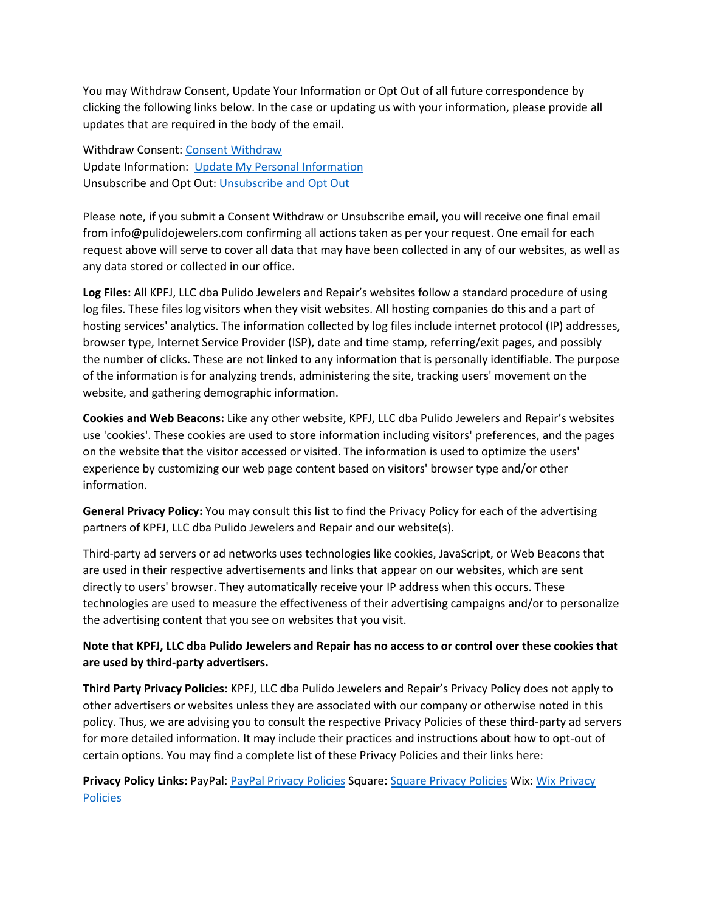You may Withdraw Consent, Update Your Information or Opt Out of all future correspondence by clicking the following links below. In the case or updating us with your information, please provide all updates that are required in the body of the email.

Withdraw Consent: [Consent Withdraw](mailto:info@pulidojewelers.com?subject=Consent%20Withdraw%20Request) Update Information: [Update My Personal Information](mailto:info@pulidojewelers.com?subject=Please%20Update%20My%20Information) Unsubscribe and Opt Out[: Unsubscribe and Opt Out](mailto:info@pulidojewelers.com?subject=Unsubscribe%20and%20Opt%20Out%20Request)

Please note, if you submit a Consent Withdraw or Unsubscribe email, you will receive one final email from info@pulidojewelers.com confirming all actions taken as per your request. One email for each request above will serve to cover all data that may have been collected in any of our websites, as well as any data stored or collected in our office.

**Log Files:** All KPFJ, LLC dba Pulido Jewelers and Repair's websites follow a standard procedure of using log files. These files log visitors when they visit websites. All hosting companies do this and a part of hosting services' analytics. The information collected by log files include internet protocol (IP) addresses, browser type, Internet Service Provider (ISP), date and time stamp, referring/exit pages, and possibly the number of clicks. These are not linked to any information that is personally identifiable. The purpose of the information is for analyzing trends, administering the site, tracking users' movement on the website, and gathering demographic information.

**Cookies and Web Beacons:** Like any other website, KPFJ, LLC dba Pulido Jewelers and Repair's websites use 'cookies'. These cookies are used to store information including visitors' preferences, and the pages on the website that the visitor accessed or visited. The information is used to optimize the users' experience by customizing our web page content based on visitors' browser type and/or other information.

**General Privacy Policy:** You may consult this list to find the Privacy Policy for each of the advertising partners of KPFJ, LLC dba Pulido Jewelers and Repair and our website(s).

Third-party ad servers or ad networks uses technologies like cookies, JavaScript, or Web Beacons that are used in their respective advertisements and links that appear on our websites, which are sent directly to users' browser. They automatically receive your IP address when this occurs. These technologies are used to measure the effectiveness of their advertising campaigns and/or to personalize the advertising content that you see on websites that you visit.

## **Note that KPFJ, LLC dba Pulido Jewelers and Repair has no access to or control over these cookies that are used by third-party advertisers.**

**Third Party Privacy Policies:** KPFJ, LLC dba Pulido Jewelers and Repair's Privacy Policy does not apply to other advertisers or websites unless they are associated with our company or otherwise noted in this policy. Thus, we are advising you to consult the respective Privacy Policies of these third-party ad servers for more detailed information. It may include their practices and instructions about how to opt-out of certain options. You may find a complete list of these Privacy Policies and their links here:

**Privacy Policy Links:** PayPal: [PayPal Privacy Policies](https://www.paypal.com/myaccount/privacy/privacyhub#:~:text=At%20PayPal%2C%20we%20put%20your%20privacy%20first.%20As,by%20two%20key%20principles%20%E2%80%93%20transparency%20and%20choice.) Square: [Square Privacy Policies](https://squareup.com/help/us/en/article/3796-privacy-and-security#:~:text=Privacy%20and%20Security%201%20Privacy%20at%20Square.%20Square,we%20collect%2C%20...%203%20Security%20at%20Square.%20) Wix[: Wix Privacy](https://www.wix.com/about/privacy)  [Policies](https://www.wix.com/about/privacy)